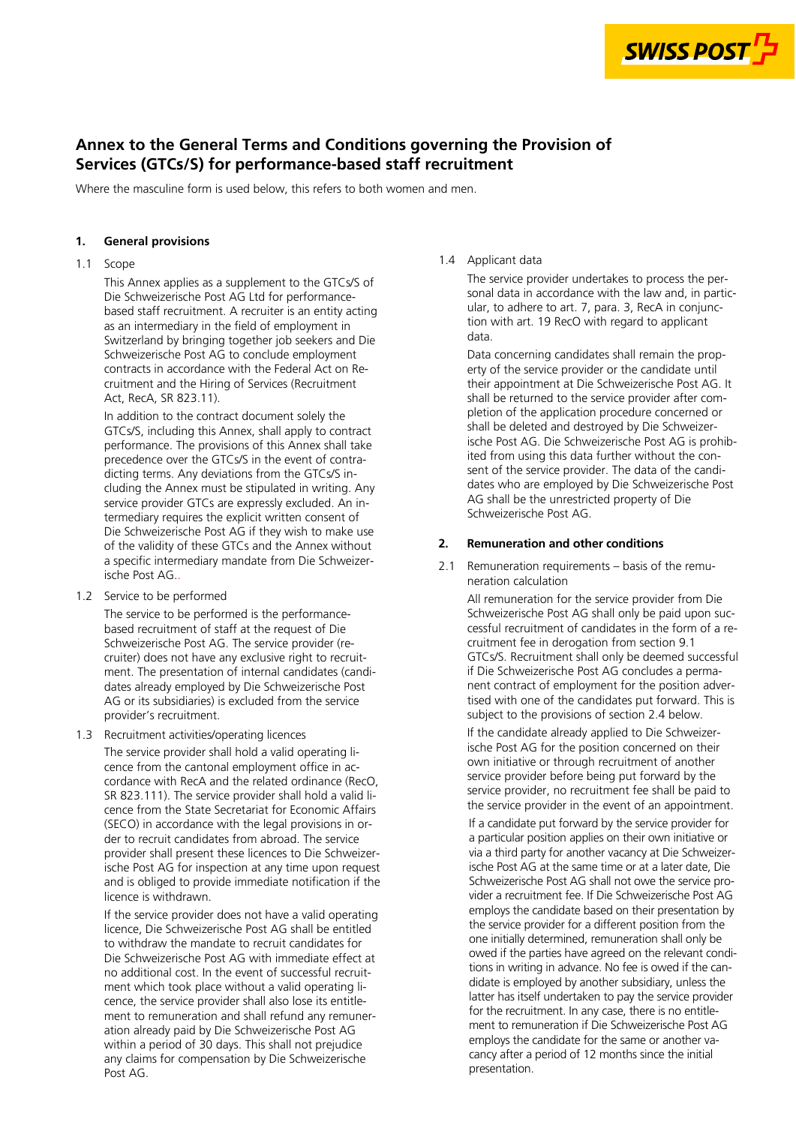

# **Annex to the General Terms and Conditions governing the Provision of Services (GTCs/S) for performance-based staff recruitment**

Where the masculine form is used below, this refers to both women and men.

### **1. General provisions**

### 1.1 Scope

This Annex applies as a supplement to the GTCs/S of Die Schweizerische Post AG Ltd for performance based staff recruitment. A recruiter is an entity acting as an intermediary in the field of employment in Switzerland by bringing together job seekers and Die Schweizerische Post AG to conclude employment contracts in accordance with the Federal Act on Re cruitment and the Hiring of Services (Recruitment Act, RecA, SR 823.11).

precedence over the GTCs/S in the event of contra-- dicting terms. Any deviations from the GTCs/S in service provider GTCs are expressly excluded. An in-- a specific intermediary mandate from Die Schweizer In addition to the contract document solely the GTCs/S, including this Annex, shall apply to contract performance. The provisions of this Annex shall take cluding the Annex must be stipulated in writing. Any termediary requires the explicit written consent of Die Schweizerische Post AG if they wish to make use of the validity of these GTCs and the Annex without ische Post AG..

1.2 Service to be performed

The service to be performed is the performance based recruitment of staff at the request of Die Schweizerische Post AG. The service provider (re cruiter) does not have any exclusive right to recruit ment. The presentation of internal candidates (candi dates already employed by Die Schweizerische Post AG or its subsidiaries) is excluded from the service provider's recruitment.

1.3 Recruitment activities/operating licences

The service provider shall hold a valid operating li cence from the cantonal employment office in ac cordance with RecA and the related ordinance (RecO, SR 823.111). The service provider shall hold a valid li cence from the State Secretariat for Economic Affairs (SECO) in accordance with the legal provisions in or der to recruit candidates from abroad. The service provider shall present these licences to Die Schweizer ische Post AG for inspection at any time upon request and is obliged to provide immediate notification if the licence is withdrawn.

- no additional cost. In the event of successful recruit - ment which took place without a valid operating li - cence, the service provider shall also lose its entitle - ment to remuneration and shall refund any remuner If the service provider does not have a valid operating licence, Die Schweizerische Post AG shall be entitled to withdraw the mandate to recruit candidates for Die Schweizerische Post AG with immediate effect at ation already paid by Die Schweizerische Post AG within a period of 30 days. This shall not prejudice any claims for compensation by Die Schweizerische Post AG.

#### 1.4 Applicant data

The service provider undertakes to process the per sonal data in accordance with the law and, in partic ular, to adhere to art. 7, para. 3, RecA in conjunc tion with art. 19 RecO with regard to applicant data.

- Data concerning candidates shall remain the prop - shall be returned to the service provider after com - shall be deleted and destroyed by Die Schweizer ische Post AG. Die Schweizerische Post AG is prohibited from using this data further without the con-- sent of the service provider. The data of the candi erty of the service provider or the candidate until their appointment at Die Schweizerische Post AG. It pletion of the application procedure concerned or dates who are employed by Die Schweizerische Post AG shall be the unrestricted property of Die Schweizerische Post AG.

#### **2. Remuneration and other conditions**

2.1 Remuneration requirements – basis of the remu neration calculation

- Schweizerische Post AG shall only be paid upon suc - cessful recruitment of candidates in the form of a re if Die Schweizerische Post AG concludes a perma-- nent contract of employment for the position adver All remuneration for the service provider from Die cruitment fee in derogation from section 9.1 GTCs/S. Recruitment shall only be deemed successful tised with one of the candidates put forward. This is subject to the provisions of section 2.4 below.

- If the candidate already applied to Die Schweizer ische Post AG for the position concerned on their own initiative or through recruitment of another service provider before being put forward by the service provider, no recruitment fee shall be paid to the service provider in the event of an appointment.

- via a third party for another vacancy at Die Schweizer Schweizerische Post AG shall not owe the service pro-- owed if the parties have agreed on the relevant condi tions in writing in advance. No fee is owed if the canfor the recruitment. In any case, there is no entitle-- employs the candidate for the same or another va If a candidate put forward by the service provider for a particular position applies on their own initiative or ische Post AG at the same time or at a later date, Die vider a recruitment fee. If Die Schweizerische Post AG employs the candidate based on their presentation by the service provider for a different position from the one initially determined, remuneration shall only be didate is employed by another subsidiary, unless the latter has itself undertaken to pay the service provider ment to remuneration if Die Schweizerische Post AG cancy after a period of 12 months since the initial presentation.